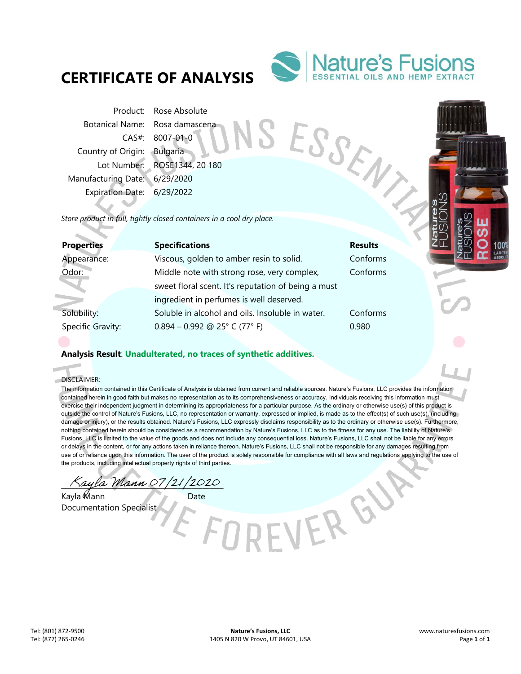

SESSEN

EVER GY

Product: Rose Absolute Botanical Name: Rosa damascena CAS#: 8007-01-0 Country of Origin: Bulgaria Lot Number: ROSE1344, 20 180 Manufacturing Date: 6/29/2020 Expiration Date: 6/29/2022

*Store product in full, tightly closed containers in a cool dry place.* 

| <b>Properties</b> | <b>Specifications</b>                               | <b>Results</b> |
|-------------------|-----------------------------------------------------|----------------|
| Appearance:       | Viscous, golden to amber resin to solid.            | Conforms       |
| Odor:             | Middle note with strong rose, very complex,         | Conforms       |
|                   | sweet floral scent. It's reputation of being a must |                |
|                   | ingredient in perfumes is well deserved.            |                |
| Solubility:       | Soluble in alcohol and oils. Insoluble in water.    | Conforms       |
| Specific Gravity: | $0.894 - 0.992$ @ 25° C (77° F)                     | 0.980          |
|                   |                                                     |                |

## **Analysis Result**: **Unadulterated, no traces of synthetic additives.**

DISCLAIMER:

ó

\_\_\_\_\_\_\_\_\_\_\_\_\_\_\_\_\_\_\_\_\_\_\_\_\_\_\_\_\_\_\_\_\_\_\_\_\_\_\_\_\_\_\_\_\_\_

Kayla Mann Date Documentation Specialist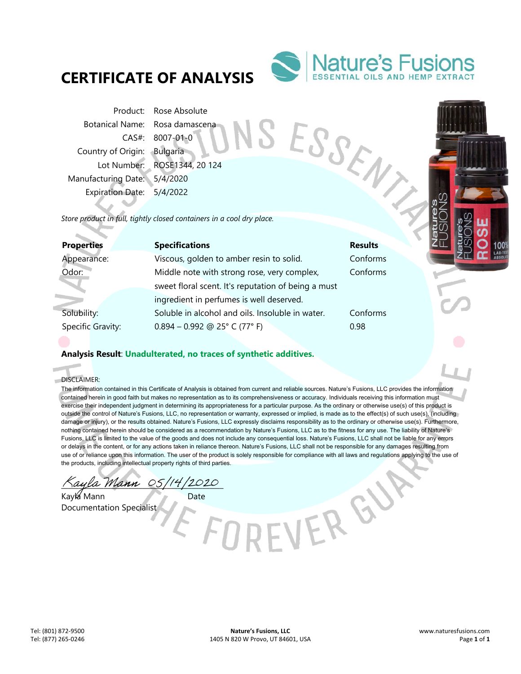

Product: Rose Absolute Botanical Name: Rosa damascena CAS#: 8007-01-0 Country of Origin: Bulgaria Lot Number: ROSE1344, 20 124 Manufacturing Date: 5/4/2020 Expiration Date: 5/4/2022

SESSEN *Store product in full, tightly closed containers in a cool dry place.* 

| <b>Specifications</b>                               | <b>Results</b> |
|-----------------------------------------------------|----------------|
| Viscous, golden to amber resin to solid.            | Conforms       |
| Middle note with strong rose, very complex,         | Conforms       |
| sweet floral scent. It's reputation of being a must |                |
| ingredient in perfumes is well deserved.            |                |
| Soluble in alcohol and oils. Insoluble in water.    | Conforms       |
| $0.894 - 0.992$ @ 25° C (77° F)                     | 0.98           |
|                                                     |                |

## **Analysis Result**: **Unadulterated, no traces of synthetic additives.**

DISCLAIMER:

ó

The information contained in this Certificate of Analysis is obtained from current and reliable sources. Nature's Fusions, LLC provides the information contained herein in good faith but makes no representation as to its comprehensiveness or accuracy. Individuals receiving this information must exercise their independent judgment in determining its appropriateness for a particular purpose. As the ordinary or otherwise use(s) of this product is outside the control of Nature's Fusions, LLC, no representation or warranty, expressed or implied, is made as to the effect(s) of such use(s), (including damage or injury), or the results obtained. Nature's Fusions, LLC expressly disclaims responsibility as to the ordinary or otherwise use(s). Furthermore, nothing contained herein should be considered as a recommendation by Nature's Fusions, LLC as to the fitness for any use. The liability of Nature's Fusions, LLC is limited to the value of the goods and does not include any consequential loss. Nature's Fusions, LLC shall not be liable for any errors or delays in the content, or for any actions taken in reliance thereon. Nature's Fusions, LLC shall not be responsible for any damages resulting from use of or reliance upon this information. The user of the product is solely responsible for compliance with all laws and regulations applying to the use of the products, including intellectual property rights of third parties.

VER GY

Kaula Mann 05/14/2020

Kayla Mann Date Documentation Specialist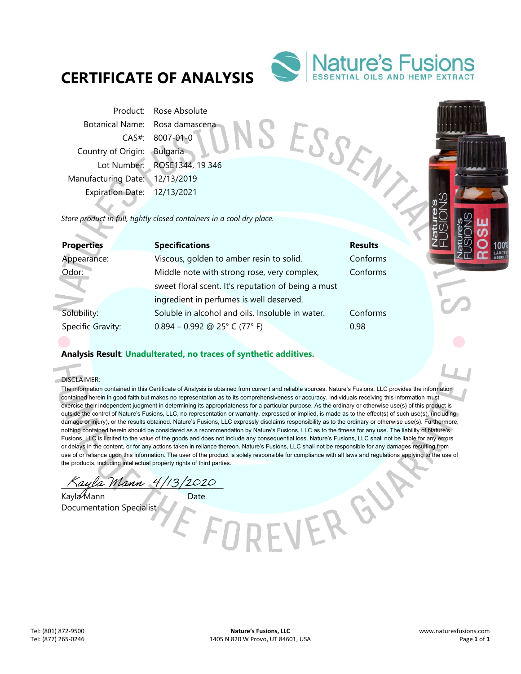

Product: Rose Absolute Botanical Name: Rosa damascena CAS#: 8007-01-0 Country of Origin: Bulgaria Lot Number: ROSE1344, 19 346 Manufacturing Date: 12/13/2019 Expiration Date: 12/13/2021

SESSEN *Store product in full, tightly closed containers in a cool dry place.* 

| <b>Properties</b> | <b>Specifications</b>                               | <b>Results</b> |
|-------------------|-----------------------------------------------------|----------------|
| Appearance:       | Viscous, golden to amber resin to solid.            | Conforms       |
| Odor:             | Middle note with strong rose, very complex,         | Conforms       |
|                   | sweet floral scent. It's reputation of being a must |                |
|                   | ingredient in perfumes is well deserved.            |                |
| Solubility:       | Soluble in alcohol and oils. Insoluble in water.    | Conforms       |
| Specific Gravity: | $0.894 - 0.992$ @ 25° C (77° F)                     | 0.98           |

## **Analysis Result**: **Unadulterated, no traces of synthetic additives.**

DISCLAIMER:

ó

\_\_\_\_\_\_\_\_\_\_\_\_\_\_\_\_\_\_\_\_\_\_\_\_\_\_\_\_\_\_\_\_\_\_\_\_\_\_\_\_\_\_\_\_\_\_

Kayla Mann Date Documentation Specialist

-VER GY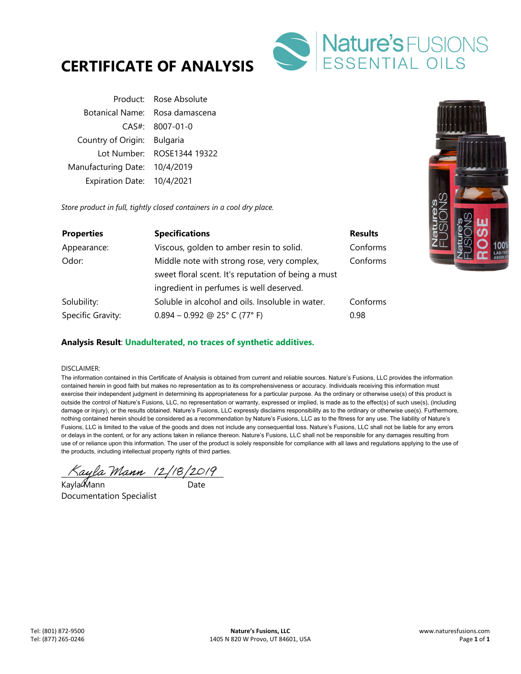

| Product: Rose Absolute         |  |
|--------------------------------|--|
| Botanical Name: Rosa damascena |  |
| $CAS#$ : 8007-01-0             |  |
| Country of Origin: Bulgaria    |  |
| Lot Number: ROSE1344 19322     |  |
| Manufacturing Date: 10/4/2019  |  |
| Expiration Date: 10/4/2021     |  |
|                                |  |

*Store product in full, tightly closed containers in a cool dry place.* 

| <b>Properties</b> | <b>Specifications</b>                               | <b>Results</b> |
|-------------------|-----------------------------------------------------|----------------|
| Appearance:       | Viscous, golden to amber resin to solid.            | Conforms       |
| Odor:             | Middle note with strong rose, very complex,         | Conforms       |
|                   | sweet floral scent. It's reputation of being a must |                |
|                   | ingredient in perfumes is well deserved.            |                |
| Solubility:       | Soluble in alcohol and oils. Insoluble in water.    | Conforms       |
| Specific Gravity: | $0.894 - 0.992$ @ 25° C (77° F)                     | 0.98           |

## **Analysis Result**: **Unadulterated, no traces of synthetic additives.**

### DISCLAIMER:

 $\land$ ayla Mann (2/18/2019)

Kayla Mann ann an Date Documentation Specialist